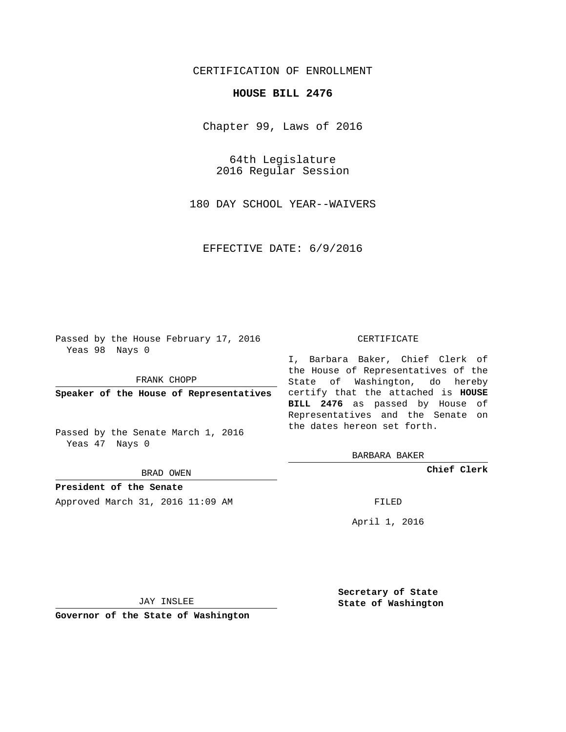# CERTIFICATION OF ENROLLMENT

### **HOUSE BILL 2476**

Chapter 99, Laws of 2016

64th Legislature 2016 Regular Session

180 DAY SCHOOL YEAR--WAIVERS

EFFECTIVE DATE: 6/9/2016

Passed by the House February 17, 2016 Yeas 98 Nays 0

FRANK CHOPP

Passed by the Senate March 1, 2016 Yeas 47 Nays 0

BRAD OWEN

**President of the Senate**

Approved March 31, 2016 11:09 AM FILED

#### CERTIFICATE

**Speaker of the House of Representatives** certify that the attached is **HOUSE** I, Barbara Baker, Chief Clerk of the House of Representatives of the State of Washington, do hereby **BILL 2476** as passed by House of Representatives and the Senate on the dates hereon set forth.

BARBARA BAKER

**Chief Clerk**

April 1, 2016

JAY INSLEE

**Governor of the State of Washington**

**Secretary of State State of Washington**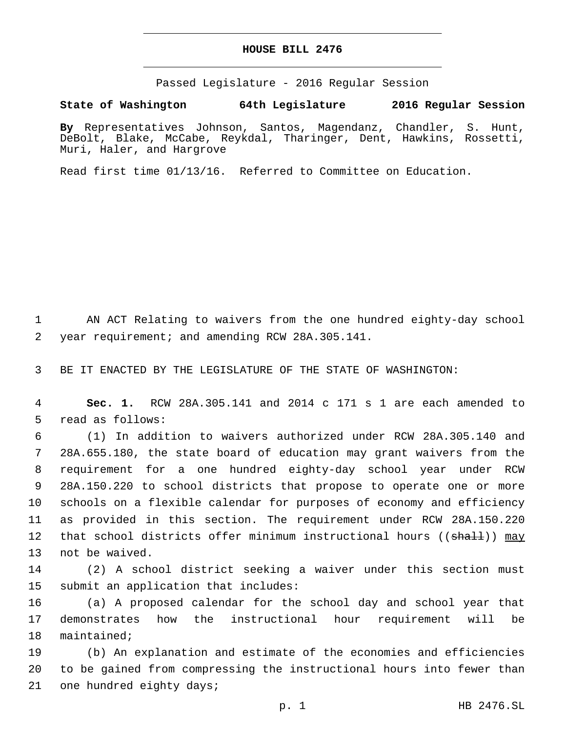### **HOUSE BILL 2476**

Passed Legislature - 2016 Regular Session

## **State of Washington 64th Legislature 2016 Regular Session**

**By** Representatives Johnson, Santos, Magendanz, Chandler, S. Hunt, DeBolt, Blake, McCabe, Reykdal, Tharinger, Dent, Hawkins, Rossetti, Muri, Haler, and Hargrove

Read first time 01/13/16. Referred to Committee on Education.

1 AN ACT Relating to waivers from the one hundred eighty-day school 2 year requirement; and amending RCW 28A.305.141.

3 BE IT ENACTED BY THE LEGISLATURE OF THE STATE OF WASHINGTON:

4 **Sec. 1.** RCW 28A.305.141 and 2014 c 171 s 1 are each amended to 5 read as follows:

 (1) In addition to waivers authorized under RCW 28A.305.140 and 28A.655.180, the state board of education may grant waivers from the requirement for a one hundred eighty-day school year under RCW 28A.150.220 to school districts that propose to operate one or more schools on a flexible calendar for purposes of economy and efficiency as provided in this section. The requirement under RCW 28A.150.220 12 that school districts offer minimum instructional hours (( $\sinh(1)$ ) may 13 not be waived.

14 (2) A school district seeking a waiver under this section must 15 submit an application that includes:

16 (a) A proposed calendar for the school day and school year that 17 demonstrates how the instructional hour requirement will be 18 maintained;

19 (b) An explanation and estimate of the economies and efficiencies 20 to be gained from compressing the instructional hours into fewer than 21 one hundred eighty days;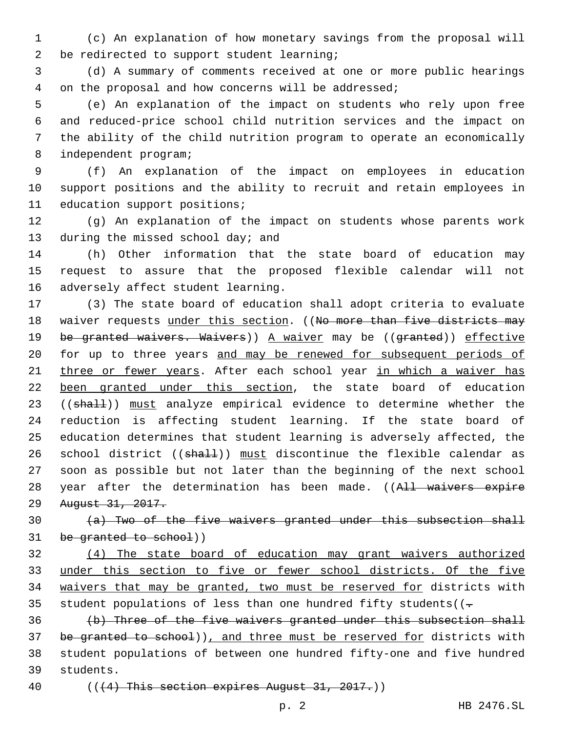1 (c) An explanation of how monetary savings from the proposal will 2 be redirected to support student learning;

3 (d) A summary of comments received at one or more public hearings 4 on the proposal and how concerns will be addressed;

 (e) An explanation of the impact on students who rely upon free and reduced-price school child nutrition services and the impact on the ability of the child nutrition program to operate an economically 8 independent program;

9 (f) An explanation of the impact on employees in education 10 support positions and the ability to recruit and retain employees in 11 education support positions;

12 (g) An explanation of the impact on students whose parents work 13 during the missed school day; and

14 (h) Other information that the state board of education may 15 request to assure that the proposed flexible calendar will not 16 adversely affect student learning.

17 (3) The state board of education shall adopt criteria to evaluate 18 waiver requests under this section. ((No more than five districts may 19 be granted waivers. Waivers)) A waiver may be ((granted)) effective 20 for up to three years and may be renewed for subsequent periods of 21 three or fewer years. After each school year in which a waiver has 22 been granted under this section, the state board of education 23 ((shall)) must analyze empirical evidence to determine whether the 24 reduction is affecting student learning. If the state board of 25 education determines that student learning is adversely affected, the 26 school district ((shall)) must discontinue the flexible calendar as 27 soon as possible but not later than the beginning of the next school 28 year after the determination has been made. ((All waivers expire 29 August 31, 2017.

 $30$  (a) Two of the five waivers granted under this subsection shall 31 be granted to school))

32 (4) The state board of education may grant waivers authorized 33 under this section to five or fewer school districts. Of the five 34 waivers that may be granted, two must be reserved for districts with 35 student populations of less than one hundred fifty students( $(-$ 

36 (b) Three of the five waivers granted under this subsection shall 37 be granted to school)), and three must be reserved for districts with 38 student populations of between one hundred fifty-one and five hundred 39 students.

40  $((+4)$  This section expires August 31, 2017.)